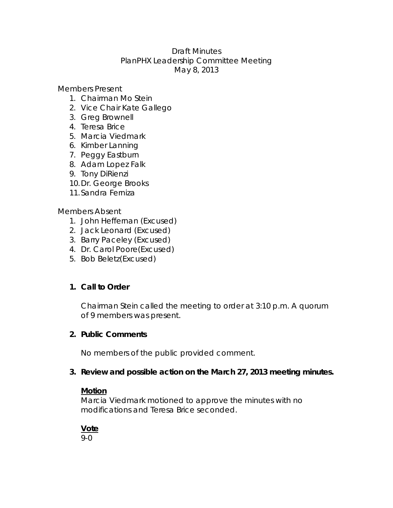#### Draft Minutes PlanPHX Leadership Committee Meeting May 8, 2013

Members Present

- 1. Chairman Mo Stein
- 2. Vice Chair Kate Gallego
- 3. Greg Brownell
- 4. Teresa Brice
- 5. Marcia Viedmark
- 6. Kimber Lanning
- 7. Peggy Eastburn
- 8. Adam Lopez Falk
- 9. Tony DiRienzi
- 10.Dr. George Brooks
- 11.Sandra Ferniza

Members Absent

- 1. John Heffernan (Excused)
- 2. Jack Leonard (Excused)
- 3. Barry Paceley (Excused)
- 4. Dr. Carol Poore(Excused)
- 5. Bob Beletz(Excused)

# **1. Call to Order**

Chairman Stein called the meeting to order at 3:10 p.m. A quorum of 9 members was present.

#### **2. Public Comments**

No members of the public provided comment.

#### **3. Review and possible action on the March 27, 2013 meeting minutes.**

#### **Motion**

Marcia Viedmark motioned to approve the minutes with no modifications and Teresa Brice seconded.

# **Vote**

9-0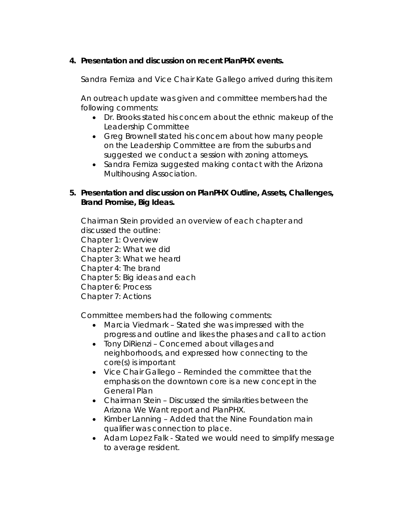# **4. Presentation and discussion on recent PlanPHX events.**

*Sandra Ferniza and Vice Chair Kate Gallego arrived during this item* 

An outreach update was given and committee members had the following comments:

- Dr. Brooks stated his concern about the ethnic makeup of the Leadership Committee
- Greg Brownell stated his concern about how many people on the Leadership Committee are from the suburbs and suggested we conduct a session with zoning attorneys.
- Sandra Ferniza suggested making contact with the Arizona Multihousing Association.
- **5. Presentation and discussion on PlanPHX Outline, Assets, Challenges, Brand Promise, Big Ideas.**

Chairman Stein provided an overview of each chapter and discussed the outline:

Chapter 1: Overview

Chapter 2: What we did

Chapter 3: What we heard

Chapter 4: The brand

Chapter 5: Big ideas and each

Chapter 6: Process

Chapter 7: Actions

Committee members had the following comments:

- Marcia Viedmark Stated she was impressed with the progress and outline and likes the phases and call to action
- Tony DiRienzi Concerned about villages and neighborhoods, and expressed how connecting to the core(s) is important
- Vice Chair Gallego Reminded the committee that the emphasis on the downtown core is a new concept in the General Plan
- Chairman Stein Discussed the similarities between the *Arizona We Want* report and PlanPHX.
- Kimber Lanning Added that the Nine Foundation main qualifier was connection to place.
- Adam Lopez Falk Stated we would need to simplify message to average resident.